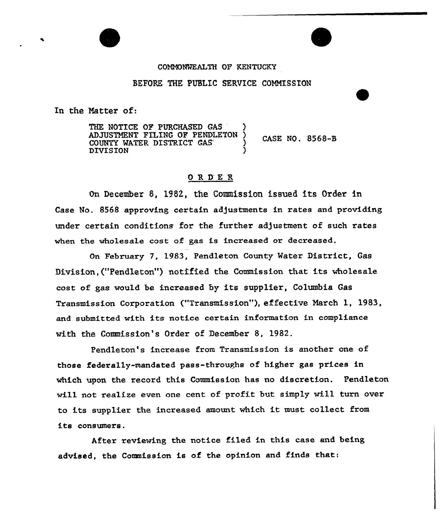### COMMOKKALTH OF KENTUCKY

## BEFORE THE PUBLIC SERVICE COMMISSION

In the Natter of:

THE NOTICE OF PURCHASED GAS ADJUSTMENT FILING OP PENDLETON ) CASE NO. 8568-B COUNTY MATER DISTRICT CAS ) **DIVISION** 

## ORDER

On December 8, 1982, the Commission issued its Order in Case No. 8568 approving certain adjustments in rates and providing under certain conditions for the further adjustment of such rates when the wholesa1e cost of gas is increased or decreased.

On February 7, 1983, Pendleton County Mater District, Gas Division,{"Pendleton") notified the Commission that its wholesale cost of gas would be increased by its supplier, Columbia Gas Transmission Corporation ("Transmission" ), effective March 1, 1983, and submitted with its notice cextain information in compliance with the Conanission's Order of December 8, 1982.

Pendleton's increase from Transmission is another one of those federally-mandated pass-throughs of higher gas prices in which upon the record this Commission has no discretion. Pendleton wi11 not realise even one cent of profit but simply will turn over to its supplier the increased amount which it must collect from its consumers.

Aftex reviewing the notice filed in this case and being advised, the Commission is of the opinion and finds that: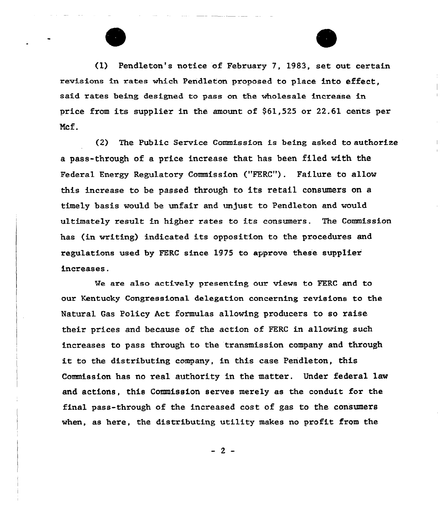

(1) Pendleton's notice of February 7, 1983, set out certain revisions in rates which Pendleton proposed to place into effect, said rates being designed to pass on the wholesale increase in price from its supplier in the amount of \$61,525 or 22.61 cents per Ncf.

(2) The Public Service Commission is being asked to authorize a pass-through of a price increase that has been filed with the FederaL Energy Regulatory Commission ("FERC"). Failure to allow this increase to be passed through to its retail consumers on a timely basis would be unfair and unjust to Pendleton and would ultimately result in higher rates to its consumers. The Commission has (in writing) indicated its opposition to the procedures and regulations used by FERC since 1975 to approve these supplier increases.

We are also actively presenting our views to FERC and to oux Kentucky Congressional delegation concerning revisions to the Natural Gas Policy Act formulas allowing producers to so raise their prices and because of the action of FERC in allowing such increases to pass through to the transmission company and through it to the distributing company, in this case Pendleton, this Commission has no zeal authority in the matter. Under federal law and actions, this Commission serves merely as the conduit for the final pass-through of the increased cost of gas to the consumezs when, as here, the distributing utility makes no profit from the

 $-2-$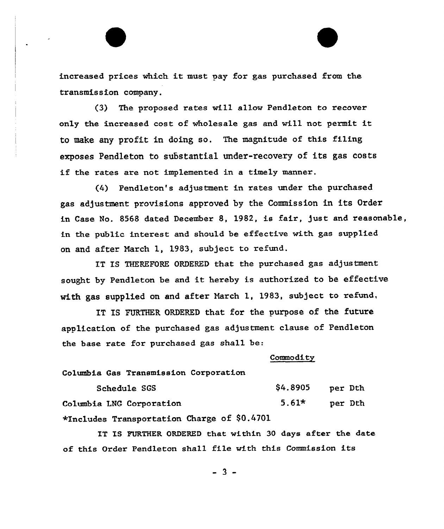increased prices which it must pay for gas purchased from the transmission company.

(3} The proposed rates wiLL allow PendLeton to recover only the increased cost of wholesale gas and will not permit to make any profit in doing so. The magnitude of this filing exposes Pendleton to substantial under-recovery of its gas costs if the rates are not implemented in <sup>a</sup> timely manner.

(4} Pendleton's adjustment in rates under the purchased gas adjustment provisions approved by the Commission in its Order in Case No. 8568 dated December 8, 1982, is fair, just and reasonable, in the public interest and should be effective with gas supplied on and after March 1, 1983, subject to refund.

IT IS THEREFORE ORDERED that the purchased gas adjustment sought by Pendleton be and it hereby is authorized to be effective with gas supplied on and after March 1, 1983, subject to refund,

IT IS FURTHER ORDERED that for the purpose of the future application of the purchased gas adjustment clause of Pendleton the hase rate for purchased gas shall be:

#### Commodity

Columbia Gas Transmission Corporation

Schedule SGS Columbia LNG Corporation \*Includes Transportation Charge of \$0.4701 \$4.8905 5.61\* per Dth per Dth

IT IS FURTHER ORDERED that within 30 days after the date of this Order Pendleton sha11 file with this Commission its

 $-3 -$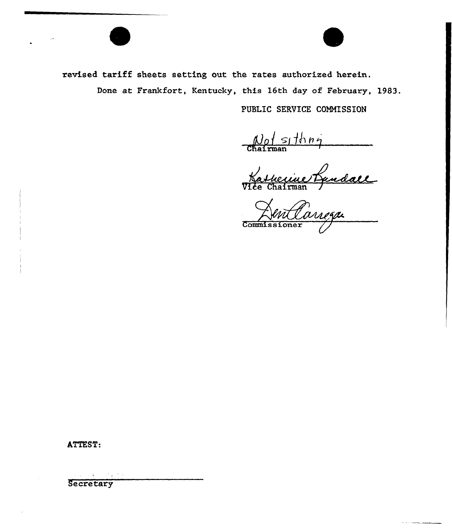

PUBLIC SERVICE COMMISSION

 $\frac{N_0}{\text{Chatrman}}$ 

Natherine Randall

Commissioner

ATTEST: